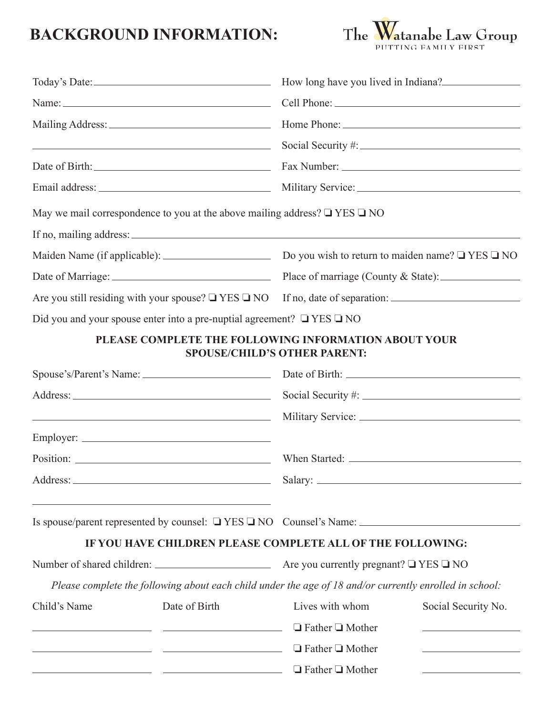## **BACKGROUND INFORMATION:**



|                                                                                                         | $\sim$ Social Security #:                                                                               |                                     |                                                                                                                        |
|---------------------------------------------------------------------------------------------------------|---------------------------------------------------------------------------------------------------------|-------------------------------------|------------------------------------------------------------------------------------------------------------------------|
|                                                                                                         |                                                                                                         |                                     |                                                                                                                        |
|                                                                                                         |                                                                                                         |                                     |                                                                                                                        |
|                                                                                                         | May we mail correspondence to you at the above mailing address? $\square$ YES $\square$ NO              |                                     |                                                                                                                        |
|                                                                                                         |                                                                                                         |                                     |                                                                                                                        |
| Maiden Name (if applicable): $\qquad \qquad$ Do you wish to return to maiden name? $\Box$ YES $\Box$ NO |                                                                                                         |                                     |                                                                                                                        |
|                                                                                                         |                                                                                                         |                                     |                                                                                                                        |
|                                                                                                         |                                                                                                         |                                     |                                                                                                                        |
|                                                                                                         | Did you and your spouse enter into a pre-nuptial agreement? $\Box$ YES $\Box$ NO                        |                                     |                                                                                                                        |
|                                                                                                         | PLEASE COMPLETE THE FOLLOWING INFORMATION ABOUT YOUR                                                    | <b>SPOUSE/CHILD'S OTHER PARENT:</b> |                                                                                                                        |
| Spouse's/Parent's Name: Date of Birth: 2008 Date of Birth:                                              |                                                                                                         |                                     |                                                                                                                        |
|                                                                                                         |                                                                                                         |                                     |                                                                                                                        |
|                                                                                                         |                                                                                                         |                                     |                                                                                                                        |
|                                                                                                         |                                                                                                         |                                     |                                                                                                                        |
|                                                                                                         |                                                                                                         |                                     |                                                                                                                        |
|                                                                                                         |                                                                                                         |                                     |                                                                                                                        |
|                                                                                                         |                                                                                                         |                                     |                                                                                                                        |
|                                                                                                         |                                                                                                         |                                     |                                                                                                                        |
|                                                                                                         | IF YOU HAVE CHILDREN PLEASE COMPLETE ALL OF THE FOLLOWING:                                              |                                     |                                                                                                                        |
|                                                                                                         |                                                                                                         |                                     |                                                                                                                        |
|                                                                                                         | Please complete the following about each child under the age of 18 and/or currently enrolled in school: |                                     |                                                                                                                        |
| Child's Name                                                                                            | Date of Birth                                                                                           | Lives with whom                     | Social Security No.                                                                                                    |
|                                                                                                         | <u> 1989 - Johann John Stone, mars et al. (</u>                                                         | $\Box$ Father $\Box$ Mother         | <u> 1989 - Johann Barbara, martxa alemaniar a</u>                                                                      |
|                                                                                                         |                                                                                                         | $\Box$ Father $\Box$ Mother         | <u> 1989 - Johann John Stein, mars et al. 1989 - John Stein, mars et al. 1989 - John Stein, mars et al. 1989 - Joh</u> |
|                                                                                                         |                                                                                                         | $\Box$ Father $\Box$ Mother         | <u> 1989 - Johann Barbara, martin amerikan basar da</u>                                                                |
|                                                                                                         |                                                                                                         |                                     |                                                                                                                        |